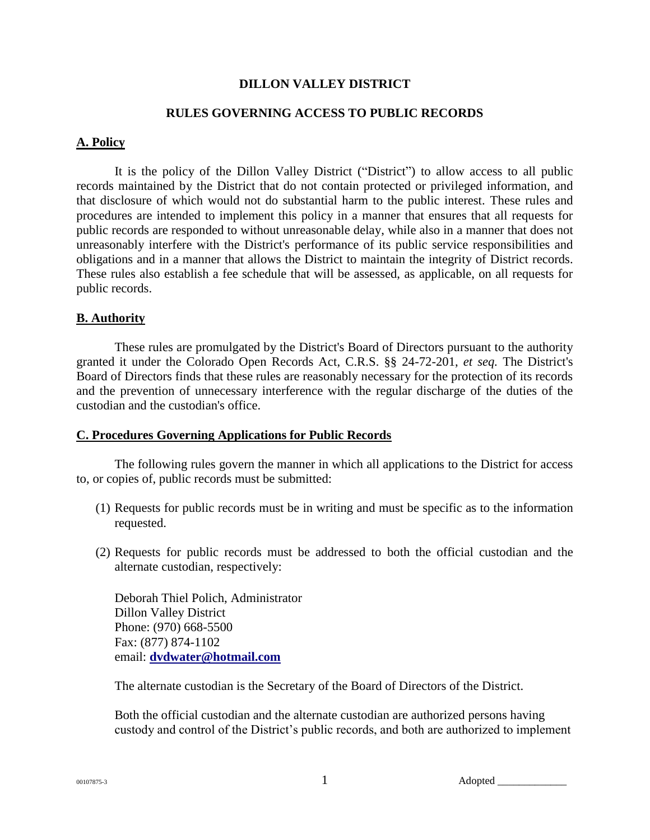## **DILLON VALLEY DISTRICT**

## **RULES GOVERNING ACCESS TO PUBLIC RECORDS**

#### **A. Policy**

It is the policy of the Dillon Valley District ("District") to allow access to all public records maintained by the District that do not contain protected or privileged information, and that disclosure of which would not do substantial harm to the public interest. These rules and procedures are intended to implement this policy in a manner that ensures that all requests for public records are responded to without unreasonable delay, while also in a manner that does not unreasonably interfere with the District's performance of its public service responsibilities and obligations and in a manner that allows the District to maintain the integrity of District records. These rules also establish a fee schedule that will be assessed, as applicable, on all requests for public records.

### **B. Authority**

These rules are promulgated by the District's Board of Directors pursuant to the authority granted it under the Colorado Open Records Act, C.R.S. §§ 24-72-201, *et seq.* The District's Board of Directors finds that these rules are reasonably necessary for the protection of its records and the prevention of unnecessary interference with the regular discharge of the duties of the custodian and the custodian's office.

### **C. Procedures Governing Applications for Public Records**

The following rules govern the manner in which all applications to the District for access to, or copies of, public records must be submitted:

- (1) Requests for public records must be in writing and must be specific as to the information requested.
- (2) Requests for public records must be addressed to both the official custodian and the alternate custodian, respectively:

Deborah Thiel Polich, Administrator Dillon Valley District Phone: (970) 668-5500 Fax: (877) 874-1102 email: **[dvdwater@hotmail.com](mailto:%20dvdwater@hotmail.com)**

The alternate custodian is the Secretary of the Board of Directors of the District.

Both the official custodian and the alternate custodian are authorized persons having custody and control of the District's public records, and both are authorized to implement

00107875-3  $\frac{1}{2}$  Adopted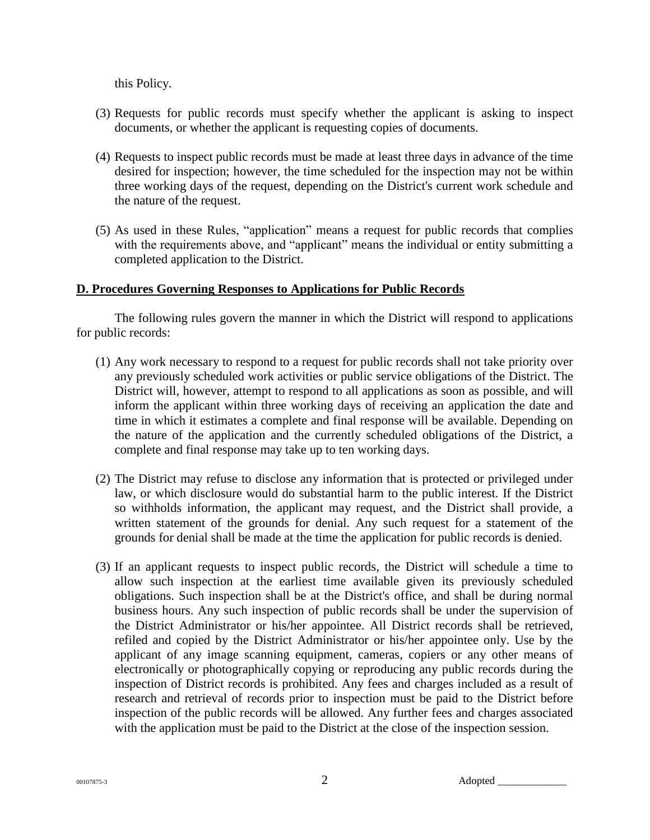this Policy.

- (3) Requests for public records must specify whether the applicant is asking to inspect documents, or whether the applicant is requesting copies of documents.
- (4) Requests to inspect public records must be made at least three days in advance of the time desired for inspection; however, the time scheduled for the inspection may not be within three working days of the request, depending on the District's current work schedule and the nature of the request.
- (5) As used in these Rules, "application" means a request for public records that complies with the requirements above, and "applicant" means the individual or entity submitting a completed application to the District.

## **D. Procedures Governing Responses to Applications for Public Records**

The following rules govern the manner in which the District will respond to applications for public records:

- (1) Any work necessary to respond to a request for public records shall not take priority over any previously scheduled work activities or public service obligations of the District. The District will, however, attempt to respond to all applications as soon as possible, and will inform the applicant within three working days of receiving an application the date and time in which it estimates a complete and final response will be available. Depending on the nature of the application and the currently scheduled obligations of the District, a complete and final response may take up to ten working days.
- (2) The District may refuse to disclose any information that is protected or privileged under law, or which disclosure would do substantial harm to the public interest. If the District so withholds information, the applicant may request, and the District shall provide, a written statement of the grounds for denial. Any such request for a statement of the grounds for denial shall be made at the time the application for public records is denied.
- (3) If an applicant requests to inspect public records, the District will schedule a time to allow such inspection at the earliest time available given its previously scheduled obligations. Such inspection shall be at the District's office, and shall be during normal business hours. Any such inspection of public records shall be under the supervision of the District Administrator or his/her appointee. All District records shall be retrieved, refiled and copied by the District Administrator or his/her appointee only. Use by the applicant of any image scanning equipment, cameras, copiers or any other means of electronically or photographically copying or reproducing any public records during the inspection of District records is prohibited. Any fees and charges included as a result of research and retrieval of records prior to inspection must be paid to the District before inspection of the public records will be allowed. Any further fees and charges associated with the application must be paid to the District at the close of the inspection session.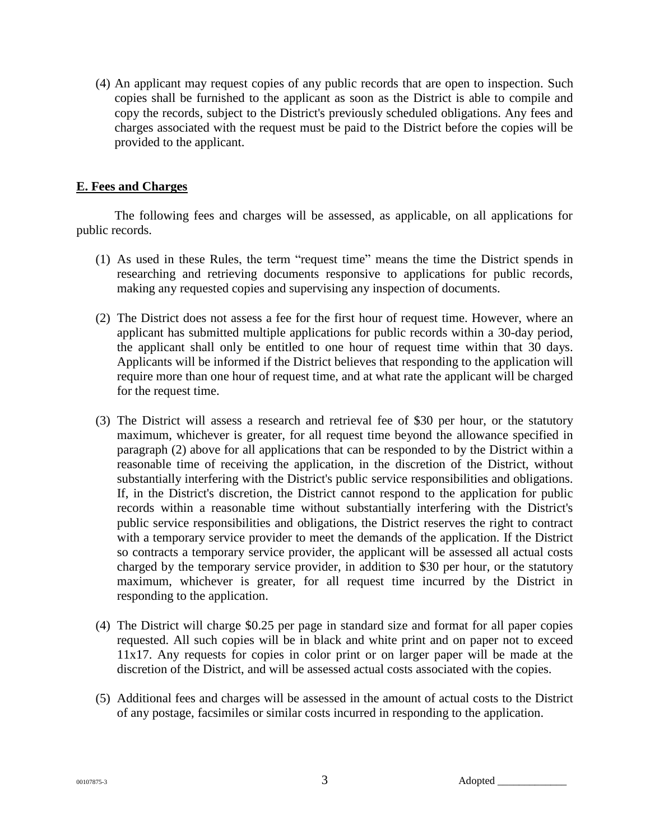(4) An applicant may request copies of any public records that are open to inspection. Such copies shall be furnished to the applicant as soon as the District is able to compile and copy the records, subject to the District's previously scheduled obligations. Any fees and charges associated with the request must be paid to the District before the copies will be provided to the applicant.

# **E. Fees and Charges**

The following fees and charges will be assessed, as applicable, on all applications for public records.

- (1) As used in these Rules, the term "request time" means the time the District spends in researching and retrieving documents responsive to applications for public records, making any requested copies and supervising any inspection of documents.
- (2) The District does not assess a fee for the first hour of request time. However, where an applicant has submitted multiple applications for public records within a 30-day period, the applicant shall only be entitled to one hour of request time within that 30 days. Applicants will be informed if the District believes that responding to the application will require more than one hour of request time, and at what rate the applicant will be charged for the request time.
- (3) The District will assess a research and retrieval fee of \$30 per hour, or the statutory maximum, whichever is greater, for all request time beyond the allowance specified in paragraph (2) above for all applications that can be responded to by the District within a reasonable time of receiving the application, in the discretion of the District, without substantially interfering with the District's public service responsibilities and obligations. If, in the District's discretion, the District cannot respond to the application for public records within a reasonable time without substantially interfering with the District's public service responsibilities and obligations, the District reserves the right to contract with a temporary service provider to meet the demands of the application. If the District so contracts a temporary service provider, the applicant will be assessed all actual costs charged by the temporary service provider, in addition to \$30 per hour, or the statutory maximum, whichever is greater, for all request time incurred by the District in responding to the application.
- (4) The District will charge \$0.25 per page in standard size and format for all paper copies requested. All such copies will be in black and white print and on paper not to exceed 11x17. Any requests for copies in color print or on larger paper will be made at the discretion of the District, and will be assessed actual costs associated with the copies.
- (5) Additional fees and charges will be assessed in the amount of actual costs to the District of any postage, facsimiles or similar costs incurred in responding to the application.

 $\frac{3}{3}$  Adopted